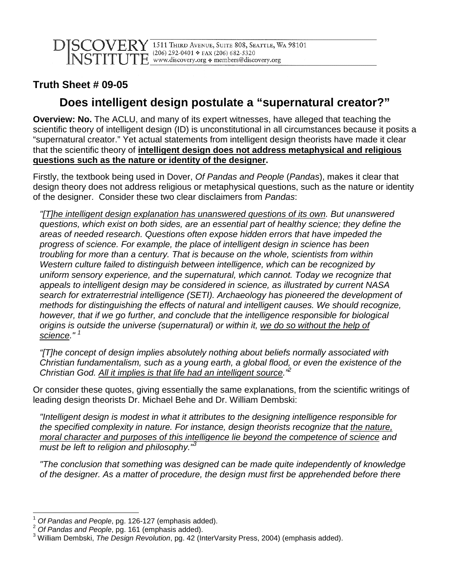## **Truth Sheet # 09-05**

## **Does intelligent design postulate a "supernatural creator?"**

**Overview: No.** The ACLU, and many of its expert witnesses, have alleged that teaching the scientific theory of intelligent design (ID) is unconstitutional in all circumstances because it posits a "supernatural creator." Yet actual statements from intelligent design theorists have made it clear that the scientific theory of **intelligent design does not address metaphysical and religious questions such as the nature or identity of the designer.**

Firstly, the textbook being used in Dover, Of Pandas and People (Pandas), makes it clear that design theory does not address religious or metaphysical questions, such as the nature or identity of the designer. Consider these two clear disclaimers from Pandas:

"[T]he intelligent design explanation has unanswered questions of its own. But unanswered questions, which exist on both sides, are an essential part of healthy science; they define the areas of needed research. Questions often expose hidden errors that have impeded the progress of science. For example, the place of intelligent design in science has been troubling for more than a century. That is because on the whole, scientists from within Western culture failed to distinguish between intelligence, which can be recognized by uniform sensory experience, and the supernatural, which cannot. Today we recognize that appeals to intelligent design may be considered in science, as illustrated by current NASA search for extraterrestrial intelligence (SETI). Archaeology has pioneered the development of methods for distinguishing the effects of natural and intelligent causes. We should recognize, however, that if we go further, and conclude that the intelligence responsible for biological origins is outside the universe (supernatural) or within it, we do so without the help of science."<sup>1</sup>

"[T]he concept of design implies absolutely nothing about beliefs normally associated with Christian fundamentalism, such as a young earth, a global flood, or even the existence of the Christian God. All it implies is that life had an intelligent source."<sup>2</sup>

Or consider these quotes, giving essentially the same explanations, from the scientific writings of leading design theorists Dr. Michael Behe and Dr. William Dembski:

"Intelligent design is modest in what it attributes to the designing intelligence responsible for the specified complexity in nature. For instance, design theorists recognize that the nature, moral character and purposes of this intelligence lie beyond the competence of science and must be left to religion and philosophy. $\mathbb{R}^3$ 

"The conclusion that something was designed can be made quite independently of knowledge of the designer. As a matter of procedure, the design must first be apprehended before there

 $\overline{a}$ Of Pandas and People, pg. 126-127 (emphasis added).

 $2$  Of Pandas and People, pg. 161 (emphasis added).

<sup>&</sup>lt;sup>3</sup> William Dembski, The Design Revolution, pg. 42 (InterVarsity Press, 2004) (emphasis added).